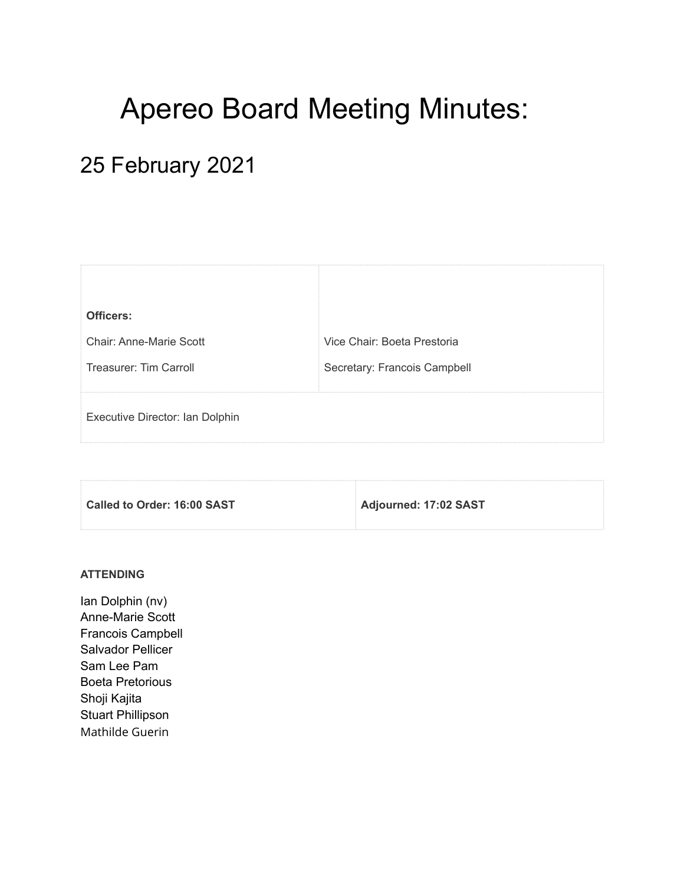# Apereo Board Meeting Minutes:

## 25 February 2021

| Officers:                       |                              |
|---------------------------------|------------------------------|
| Chair: Anne-Marie Scott         | Vice Chair: Boeta Prestoria  |
| Treasurer: Tim Carroll          | Secretary: Francois Campbell |
| Executive Director: Ian Dolphin |                              |
|                                 |                              |

| Called to Order: 16:00 SAST | Adjourned: 17:02 SAST |
|-----------------------------|-----------------------|
|                             |                       |

### **ATTENDING**

Ian Dolphin (nv) Anne-Marie Scott Francois Campbell Salvador Pellicer Sam Lee Pam Boeta Pretorious Shoji Kajita Stuart Phillipson Mathilde Guerin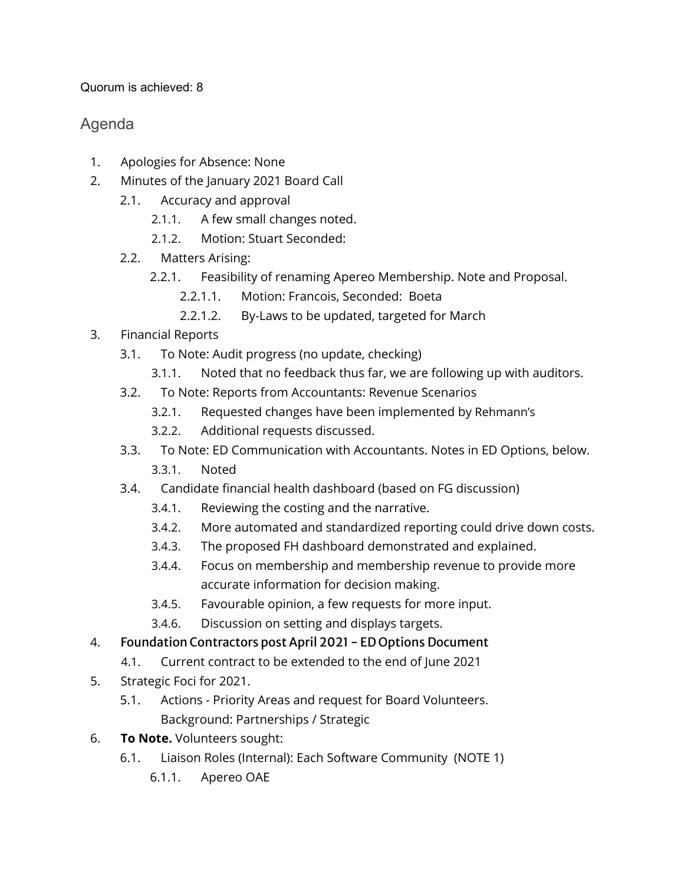Quorum is achieved: 8

## Agenda

- 1. Apologies for Absence: None
- 2. Minutes of the January 2021 Board Call
	- 2.1. Accuracy and approval
		- 2.1.1. A few small changes noted.
		- 2.1.2. Motion: Stuart Seconded:
	- 2.2. Matters Arising:
		- 2.2.1. Feasibility of renaming Apereo Membership. Note and Proposal.
			- 2.2.1.1. Motion: Francois, Seconded: Boeta
			- 2.2.1.2. By-Laws to be updated, targeted for March
- 3. Financial Reports
	- 3.1. To Note: Audit progress (no update, checking)
		- 3.1.1. Noted that no feedback thus far, we are following up with auditors.
	- 3.2. To Note: Reports from Accountants: Revenue Scenarios
		- 3.2.1. Requested changes have been implemented by Rehmann's
		- 3.2.2. Additional requests discussed.
	- 3.3. To Note: ED Communication with Accountants. Notes in ED Options, below.
		- 3.3.1. Noted
	- 3.4. Candidate financial health dashboard (based on FG discussion)
		- 3.4.1. Reviewing the costing and the narrative.
		- 3.4.2. More automated and standardized reporting could drive down costs.
		- 3.4.3. The proposed FH dashboard demonstrated and explained.
		- 3.4.4. Focus on membership and membership revenue to provide more accurate information for decision making.
		- 3.4.5. Favourable opinion, a few requests for more input.
		- 3.4.6. Discussion on setting and displays targets.
- 4. Foundation Contractors post April 2021 ED Options Document
	- 4.1. Current contract to be extended to the end of June 2021
- 5. Strategic Foci for 2021.
	- 5.1. Actions Priority Areas and request for Board Volunteers. Background: Partnerships / Strategic
- 6. **To Note.** Volunteers sought:
	- 6.1. Liaison Roles (Internal): Each Software Community (NOTE 1)
		- 6.1.1. Apereo OAE